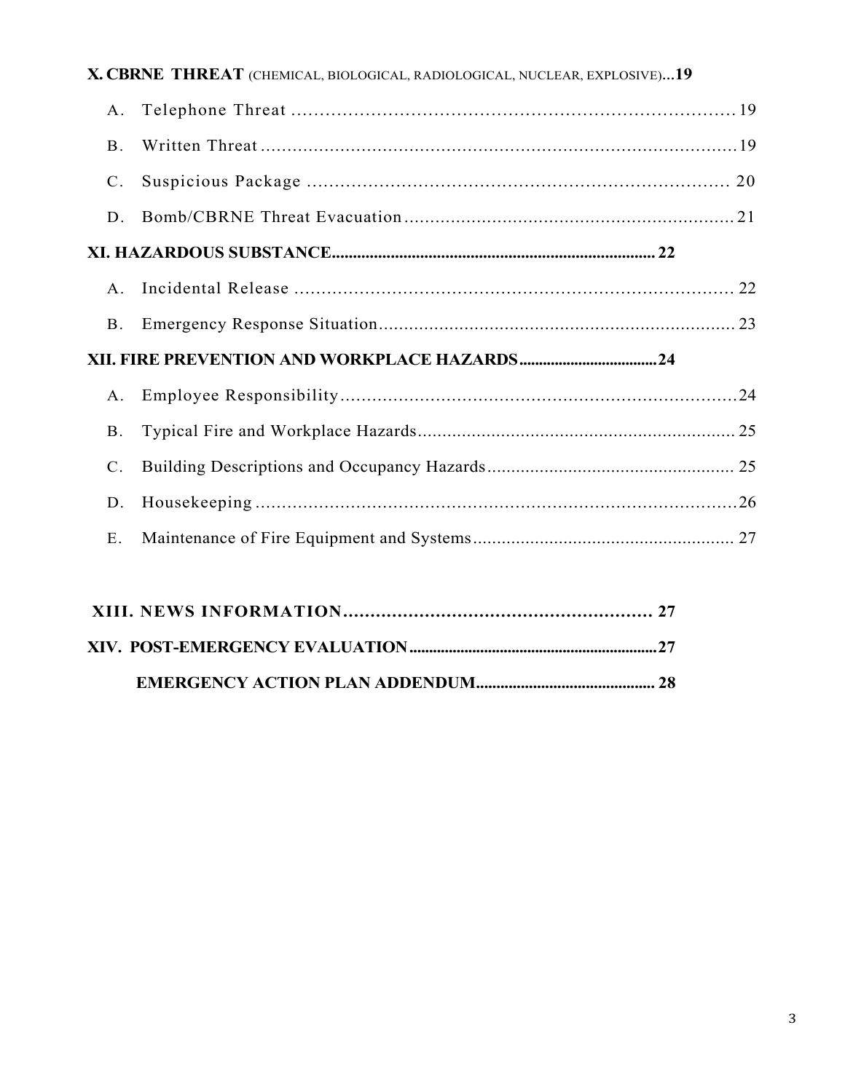|                | X. CBRNE THREAT (CHEMICAL, BIOLOGICAL, RADIOLOGICAL, NUCLEAR, EXPLOSIVE)19 |  |
|----------------|----------------------------------------------------------------------------|--|
| A.             |                                                                            |  |
| <b>B</b> .     |                                                                            |  |
| $\mathbf{C}$ . |                                                                            |  |
| D              |                                                                            |  |
|                |                                                                            |  |
| $\mathsf{A}$   |                                                                            |  |
| $B_{-}$        |                                                                            |  |
|                |                                                                            |  |
| A.             |                                                                            |  |
| <b>B</b> .     |                                                                            |  |
| $C_{\cdot}$    |                                                                            |  |
| D.             |                                                                            |  |
| E.             |                                                                            |  |
|                |                                                                            |  |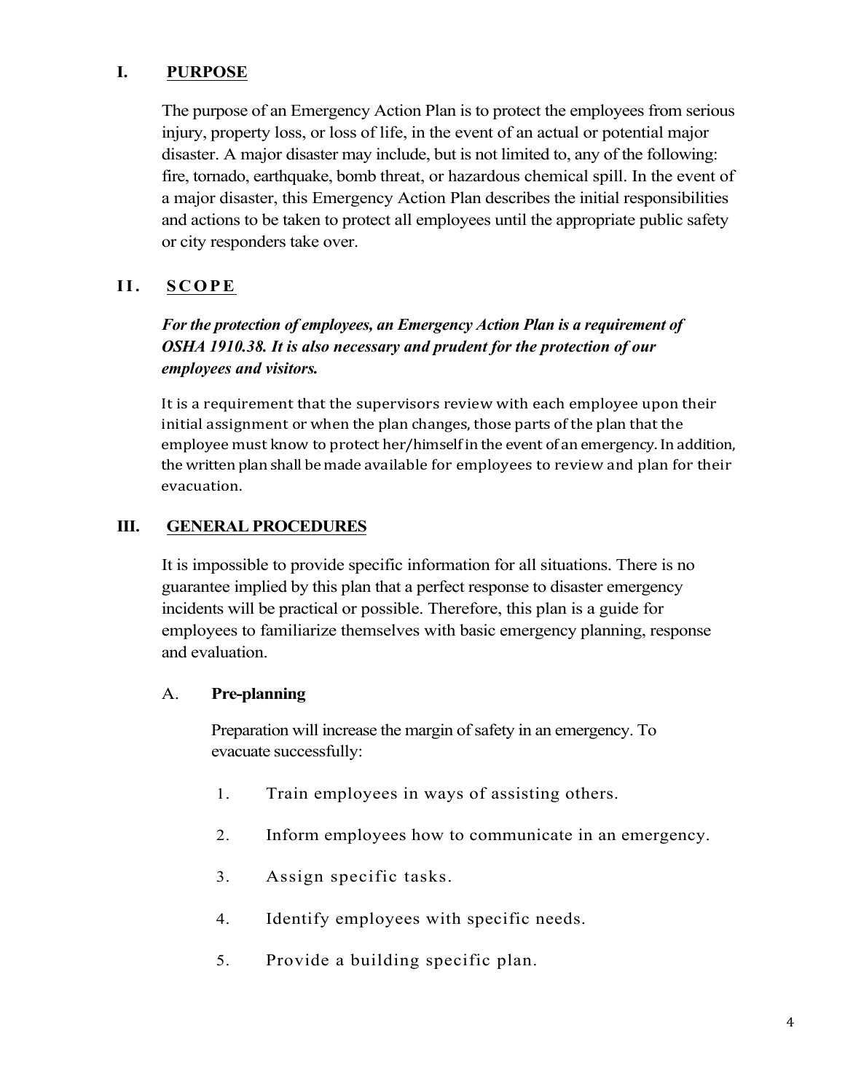## **I. PURPOSE**

The purpose of an Emergency Action Plan is to protect the employees from serious injury, property loss, or loss of life, in the event of an actual or potential major disaster. A major disaster may include, but is not limited to, any of the following: fire, tornado, earthquake, bomb threat, or hazardous chemical spill. In the event of a major disaster, this Emergency Action Plan describes the initial responsibilities and actions to be taken to protect all employees until the appropriate public safety or city responders take over.

## **II. SCOPE**

# *For the protection of employees, an Emergency Action Plan is a requirement of OSHA 1910.38. It is also necessary and prudent for the protection of our employees and visitors.*

It is a requirement that the supervisors review with each employee upon their initial assignment or when the plan changes, those parts of the plan that the employee must know to protect her/himself in the event of an emergency. In addition, the written plan shall be made available for employees to review and plan for their evacuation.

## **III. GENERAL PROCEDURES**

It is impossible to provide specific information for all situations. There is no guarantee implied by this plan that a perfect response to disaster emergency incidents will be practical or possible. Therefore, this plan is a guide for employees to familiarize themselves with basic emergency planning, response and evaluation.

#### A. **Pre-planning**

Preparation will increase the margin of safety in an emergency. To evacuate successfully:

- 1. Train employees in ways of assisting others.
- 2. Inform employees how to communicate in an emergency.
- 3. Assign specific tasks.
- 4. Identify employees with specific needs.
- 5. Provide a building specific plan.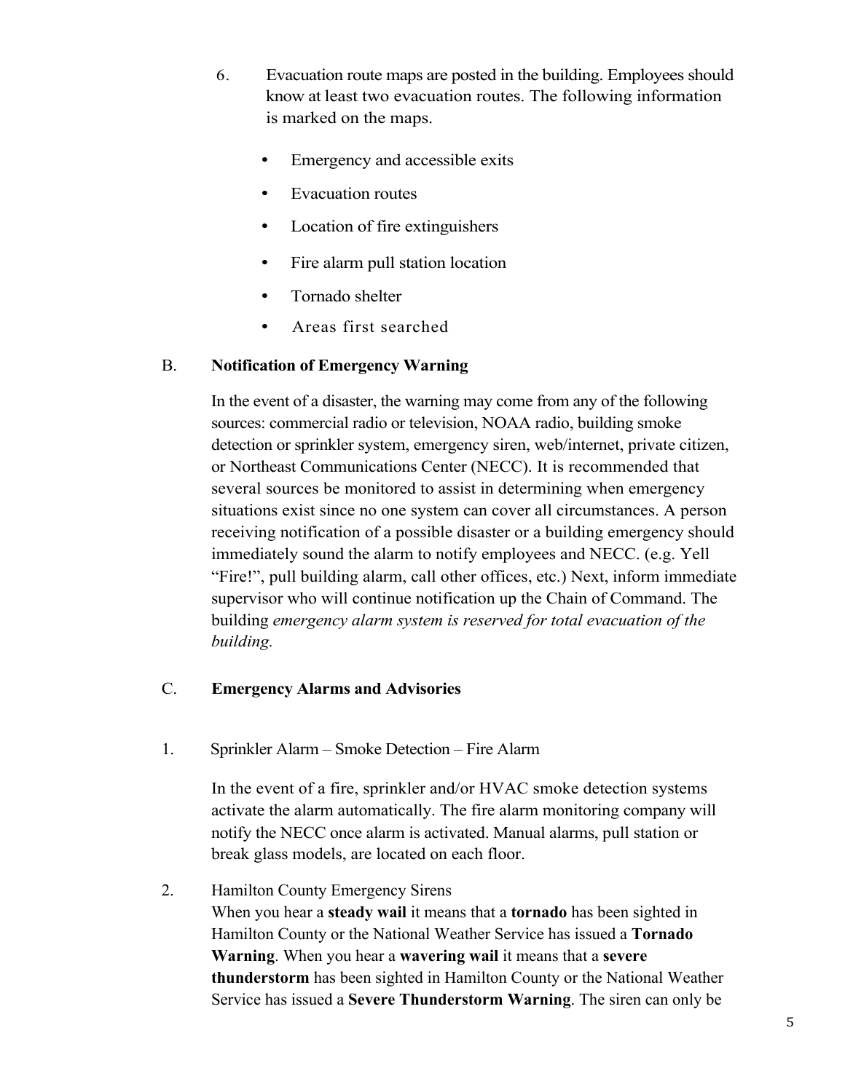- 6. Evacuation route maps are posted in the building. Employees should know at least two evacuation routes. The following information is marked on the maps.
	- Emergency and accessible exits
	- Evacuation routes
	- Location of fire extinguishers
	- Fire alarm pull station location
	- Tornado shelter
	- Areas first searched

## B. **Notification of Emergency Warning**

In the event of a disaster, the warning may come from any of the following sources: commercial radio or television, NOAA radio, building smoke detection or sprinkler system, emergency siren, web/internet, private citizen, or Northeast Communications Center (NECC). It is recommended that several sources be monitored to assist in determining when emergency situations exist since no one system can cover all circumstances. A person receiving notification of a possible disaster or a building emergency should immediately sound the alarm to notify employees and NECC. (e.g. Yell "Fire!", pull building alarm, call other offices, etc.) Next, inform immediate supervisor who will continue notification up the Chain of Command. The building *emergency alarm system is reserved for total evacuation of the building.*

## C. **Emergency Alarms and Advisories**

1. Sprinkler Alarm – Smoke Detection – Fire Alarm

In the event of a fire, sprinkler and/or HVAC smoke detection systems activate the alarm automatically. The fire alarm monitoring company will notify the NECC once alarm is activated. Manual alarms, pull station or break glass models, are located on each floor.

2. Hamilton County Emergency Sirens

When you hear a **steady wail** it means that a **tornado** has been sighted in Hamilton County or the National Weather Service has issued a **Tornado Warning**. When you hear a **wavering wail** it means that a **severe thunderstorm** has been sighted in Hamilton County or the National Weather Service has issued a **Severe Thunderstorm Warning**. The siren can only be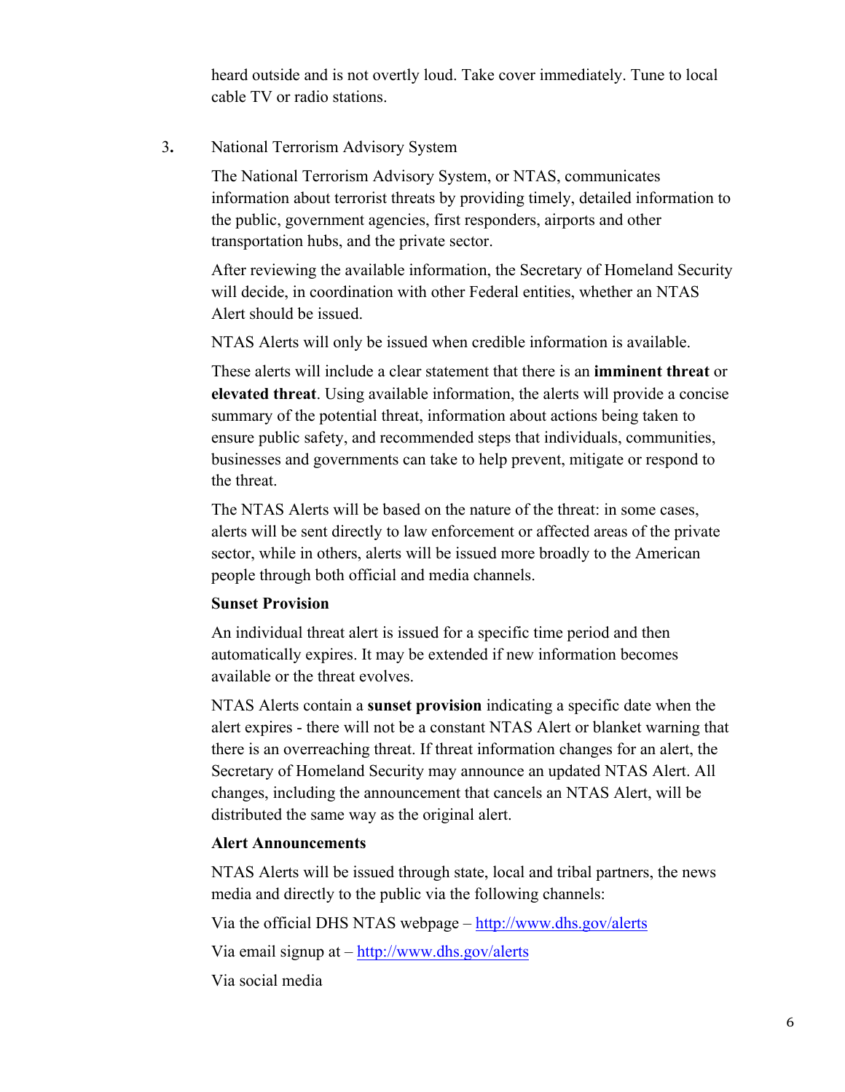heard outside and is not overtly loud. Take cover immediately. Tune to local cable TV or radio stations.

3**.** National Terrorism Advisory System

The National Terrorism Advisory System, or NTAS, communicates information about terrorist threats by providing timely, detailed information to the public, government agencies, first responders, airports and other transportation hubs, and the private sector.

After reviewing the available information, the Secretary of Homeland Security will decide, in coordination with other Federal entities, whether an NTAS Alert should be issued.

NTAS Alerts will only be issued when credible information is available.

These alerts will include a clear statement that there is an **imminent threat** or **elevated threat**. Using available information, the alerts will provide a concise summary of the potential threat, information about actions being taken to ensure public safety, and recommended steps that individuals, communities, businesses and governments can take to help prevent, mitigate or respond to the threat.

The NTAS Alerts will be based on the nature of the threat: in some cases, alerts will be sent directly to law enforcement or affected areas of the private sector, while in others, alerts will be issued more broadly to the American people through both official and media channels.

#### **Sunset Provision**

An individual threat alert is issued for a specific time period and then automatically expires. It may be extended if new information becomes available or the threat evolves.

NTAS Alerts contain a **sunset provision** indicating a specific date when the alert expires - there will not be a constant NTAS Alert or blanket warning that there is an overreaching threat. If threat information changes for an alert, the Secretary of Homeland Security may announce an updated NTAS Alert. All changes, including the announcement that cancels an NTAS Alert, will be distributed the same way as the original alert.

#### **Alert Announcements**

NTAS Alerts will be issued through state, local and tribal partners, the news media and directly to the public via the following channels:

Via the official DHS NTAS webpage – http://www.dhs.gov/alerts

Via email signup at – http://www.dhs.gov/alerts

Via social media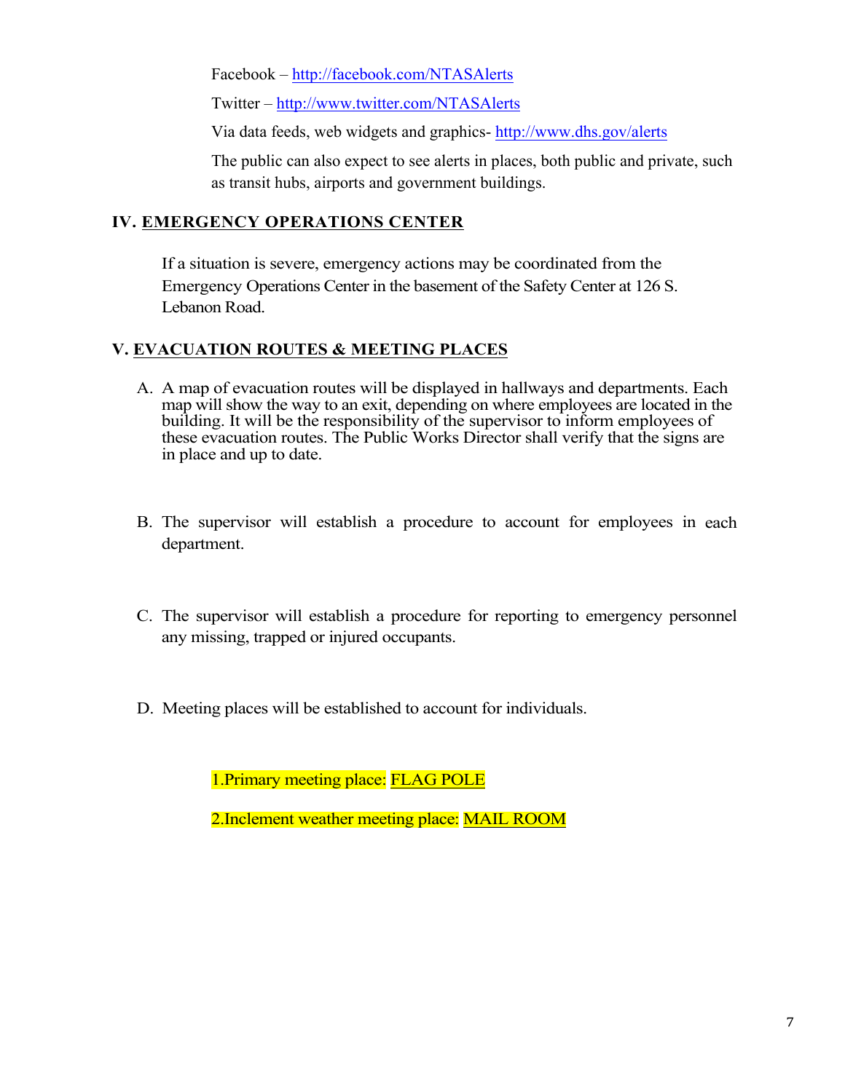Facebook – http://facebook.com/NTASAlerts

Twitter – http://www.twitter.com/NTASAlerts

Via data feeds, web widgets and graphics- http://www.dhs.gov/alerts

The public can also expect to see alerts in places, both public and private, such as transit hubs, airports and government buildings.

### **IV. EMERGENCY OPERATIONS CENTER**

If a situation is severe, emergency actions may be coordinated from the Emergency Operations Center in the basement of the Safety Center at 126 S. Lebanon Road.

## **V. EVACUATION ROUTES & MEETING PLACES**

- A. A map of evacuation routes will be displayed in hallways and departments. Each map will show the way to an exit, depending on where employees are located in the building. It will be the responsibility of the supervisor to inform employees of these evacuation routes. The Public Works Director shall verify that the signs are in place and up to date.
- B. The supervisor will establish a procedure to account for employees in each department.
- C. The supervisor will establish a procedure for reporting to emergency personnel any missing, trapped or injured occupants.
- D. Meeting places will be established to account for individuals.

1.Primary meeting place: FLAG POLE

2.Inclement weather meeting place: MAIL ROOM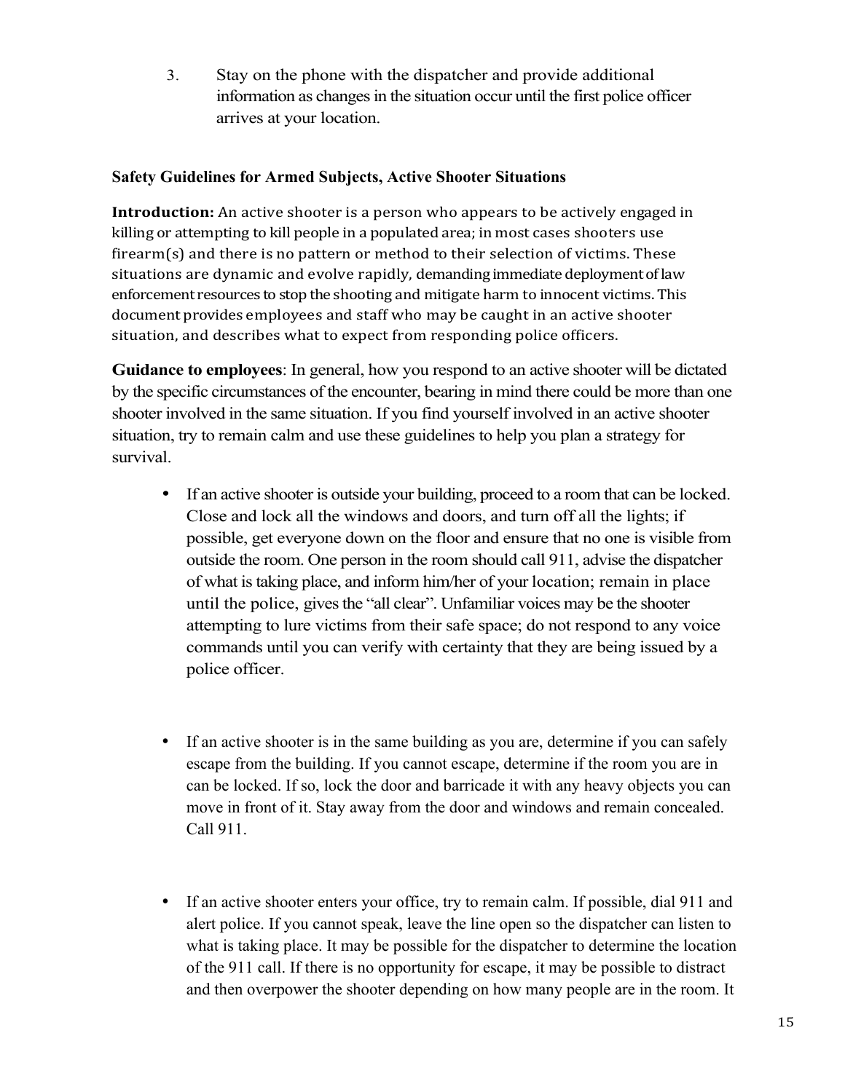3. Stay on the phone with the dispatcher and provide additional information as changes in the situation occur until the first police officer arrives at your location.

## **Safety Guidelines for Armed Subjects, Active Shooter Situations**

**Introduction:** An active shooter is a person who appears to be actively engaged in killing or attempting to kill people in a populated area; in most cases shooters use firearm(s) and there is no pattern or method to their selection of victims. These situations are dynamic and evolve rapidly, demanding immediate deployment of law enforcement resources to stop the shooting and mitigate harm to innocent victims. This document provides employees and staff who may be caught in an active shooter situation, and describes what to expect from responding police officers.

**Guidance to employees**: In general, how you respond to an active shooter will be dictated by the specific circumstances of the encounter, bearing in mind there could be more than one shooter involved in the same situation. If you find yourself involved in an active shooter situation, try to remain calm and use these guidelines to help you plan a strategy for survival.

- If an active shooter is outside your building, proceed to a room that can be locked. Close and lock all the windows and doors, and turn off all the lights; if possible, get everyone down on the floor and ensure that no one is visible from outside the room. One person in the room should call 911, advise the dispatcher of what is taking place, and inform him/her of your location; remain in place until the police, gives the "all clear". Unfamiliar voices may be the shooter attempting to lure victims from their safe space; do not respond to any voice commands until you can verify with certainty that they are being issued by a police officer.
- If an active shooter is in the same building as you are, determine if you can safely escape from the building. If you cannot escape, determine if the room you are in can be locked. If so, lock the door and barricade it with any heavy objects you can move in front of it. Stay away from the door and windows and remain concealed. Call 911.
- If an active shooter enters your office, try to remain calm. If possible, dial 911 and alert police. If you cannot speak, leave the line open so the dispatcher can listen to what is taking place. It may be possible for the dispatcher to determine the location of the 911 call. If there is no opportunity for escape, it may be possible to distract and then overpower the shooter depending on how many people are in the room. It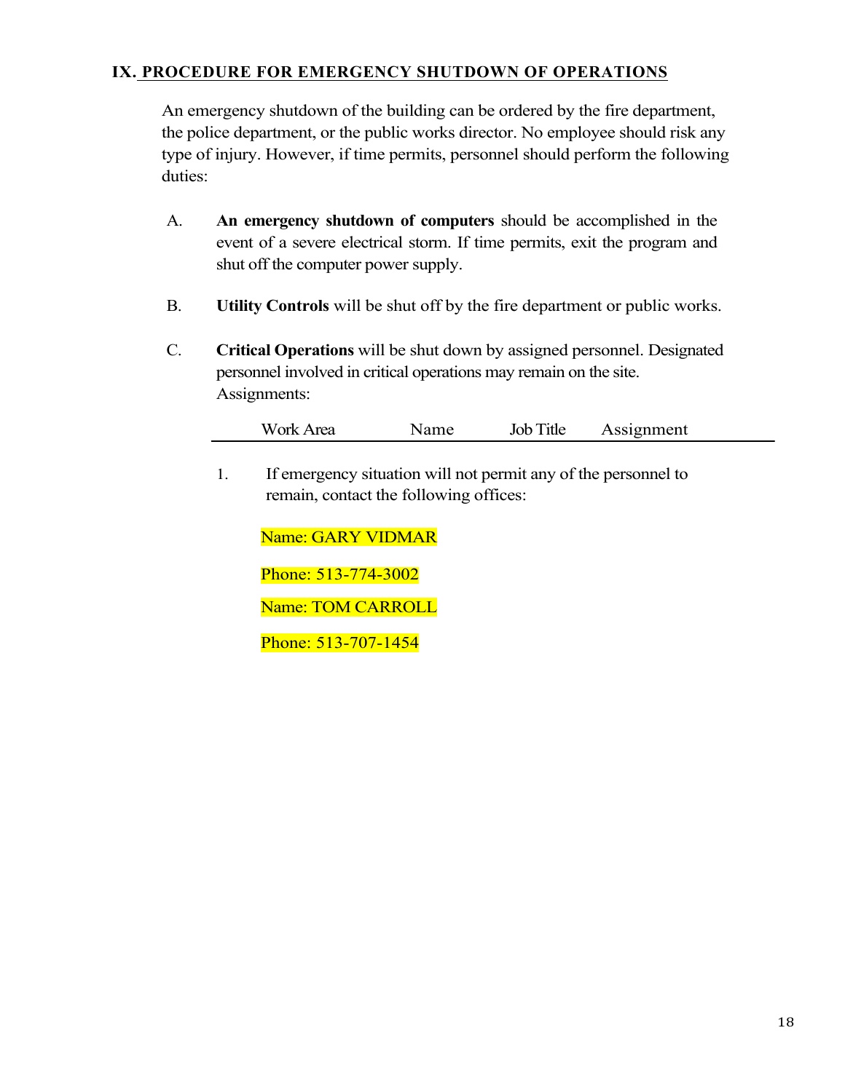## **IX. PROCEDURE FOR EMERGENCY SHUTDOWN OF OPERATIONS**

An emergency shutdown of the building can be ordered by the fire department, the police department, or the public works director. No employee should risk any type of injury. However, if time permits, personnel should perform the following duties:

- A. **An emergency shutdown of computers** should be accomplished in the event of a severe electrical storm. If time permits, exit the program and shut off the computer power supply.
- B. **Utility Controls** will be shut off by the fire department or public works.
- C. **Critical Operations** will be shut down by assigned personnel. Designated personnel involved in critical operations may remain on the site. Assignments:

| Work Area | Name | Job Title | Assignment |
|-----------|------|-----------|------------|
|-----------|------|-----------|------------|

1. If emergency situation will not permit any of the personnel to remain, contact the following offices:

Name: Dave Kennedy

Phone: 513-707-1454

Name: Tom Smith

Phone: 513-583-3020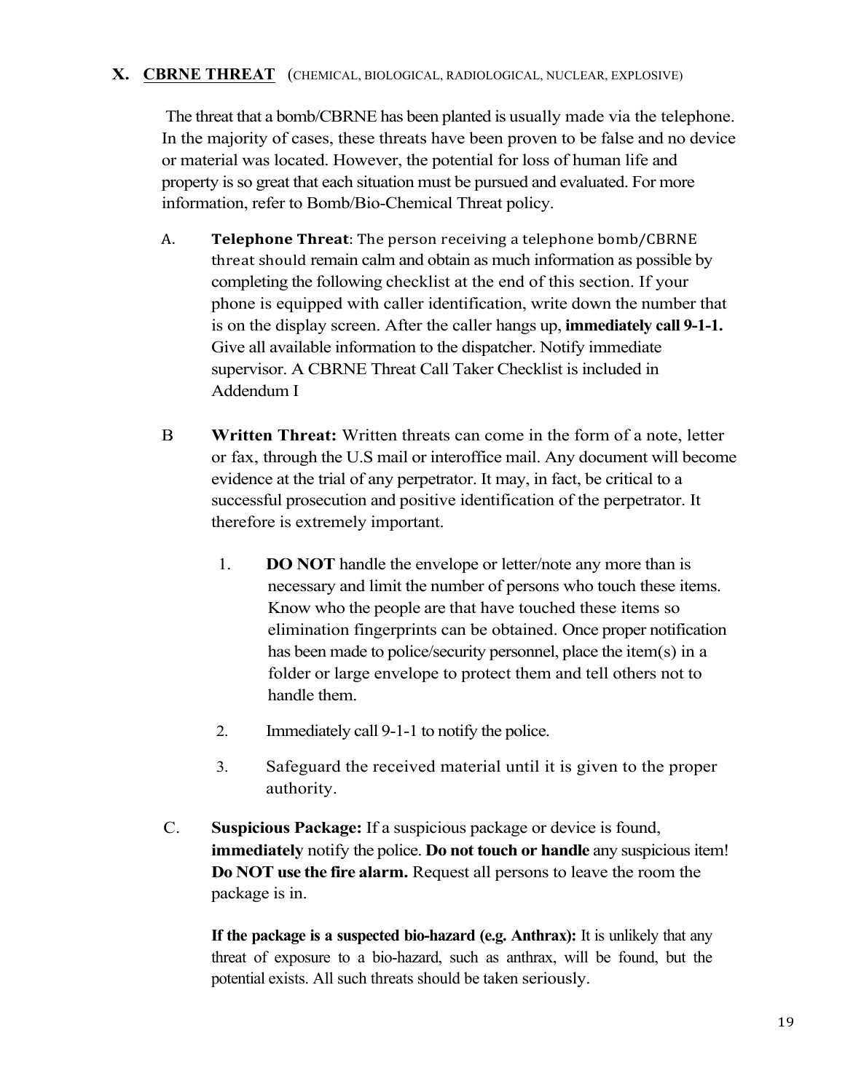### **X. CBRNE THREAT** (CHEMICAL, BIOLOGICAL, RADIOLOGICAL, NUCLEAR, EXPLOSIVE)

The threat that a bomb/CBRNE has been planted is usually made via the telephone. In the majority of cases, these threats have been proven to be false and no device or material was located. However, the potential for loss of human life and property is so great that each situation must be pursued and evaluated. For more information, refer to Bomb/Bio-Chemical Threat policy.

- A. **Telephone Threat**: The person receiving a telephone bomb/CBRNE threat should remain calm and obtain as much information as possible by completing the following checklist at the end of this section. If your phone is equipped with caller identification, write down the number that is on the display screen. After the caller hangs up, **immediately call 9-1-1.** Give all available information to the dispatcher. Notify immediate supervisor. A CBRNE Threat Call Taker Checklist is included in Addendum I
- B. **Written Threat:** Written threats can come in the form of a note, letter or fax, through the U.S mail or interoffice mail. Any document will become evidence at the trial of any perpetrator. It may, in fact, be critical to a successful prosecution and positive identification of the perpetrator. It therefore is extremely important.
	- 1. **DO NOT** handle the envelope or letter/note any more than is necessary and limit the number of persons who touch these items. Know who the people are that have touched these items so elimination fingerprints can be obtained. Once proper notification has been made to police/security personnel, place the item(s) in a folder or large envelope to protect them and tell others not to handle them.
	- 2. Immediately call 9-1-1 to notify the police.
	- 3. Safeguard the received material until it is given to the proper authority.
- C. **Suspicious Package:** If a suspicious package or device is found, **immediately** notify the police. **Do not touch or handle** any suspicious item! **Do NOT use the fire alarm.** Request all persons to leave the room the package is in.

**If the package is a suspected bio-hazard (e.g. Anthrax):** It is unlikely that any threat of exposure to a bio-hazard, such as anthrax, will be found, but the potential exists. All such threats should be taken seriously.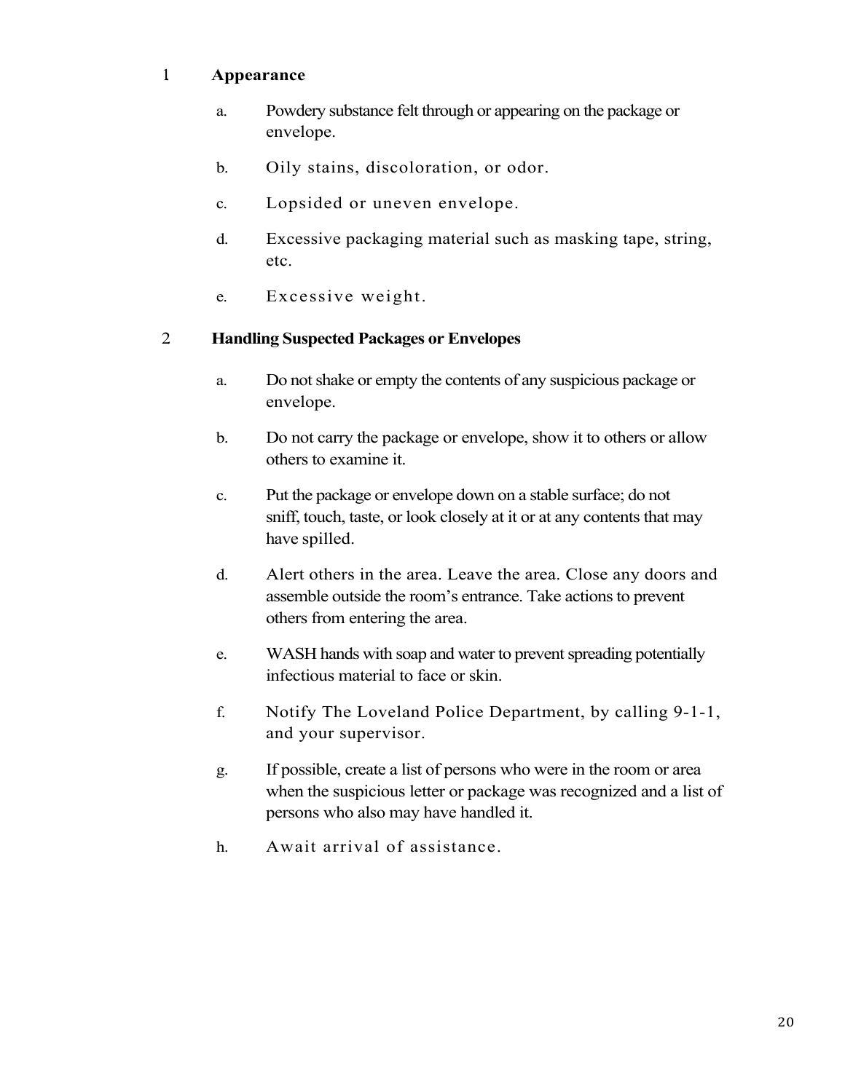## 1. **Appearance**

- a. Powdery substance felt through or appearing on the package or envelope.
- b. Oily stains, discoloration, or odor.
- c. Lopsided or uneven envelope.
- d. Excessive packaging material such as masking tape, string, etc.
- e. Excessive weight.

## 2. **Handling Suspected Packages or Envelopes**

- a. Do not shake or empty the contents of any suspicious package or envelope.
- b. Do not carry the package or envelope, show it to others or allow others to examine it.
- c. Put the package or envelope down on a stable surface; do not sniff, touch, taste, or look closely at it or at any contents that may have spilled.
- d. Alert others in the area. Leave the area. Close any doors and assemble outside the room's entrance. Take actions to prevent others from entering the area.
- e. WASH hands with soap and water to prevent spreading potentially infectious material to face or skin.
- f. Notify The Loveland Police Department, by calling 9-1-1, and your supervisor.
- g. If possible, create a list of persons who were in the room or area when the suspicious letter or package was recognized and a list of persons who also may have handled it.
- h. Await arrival of assistance.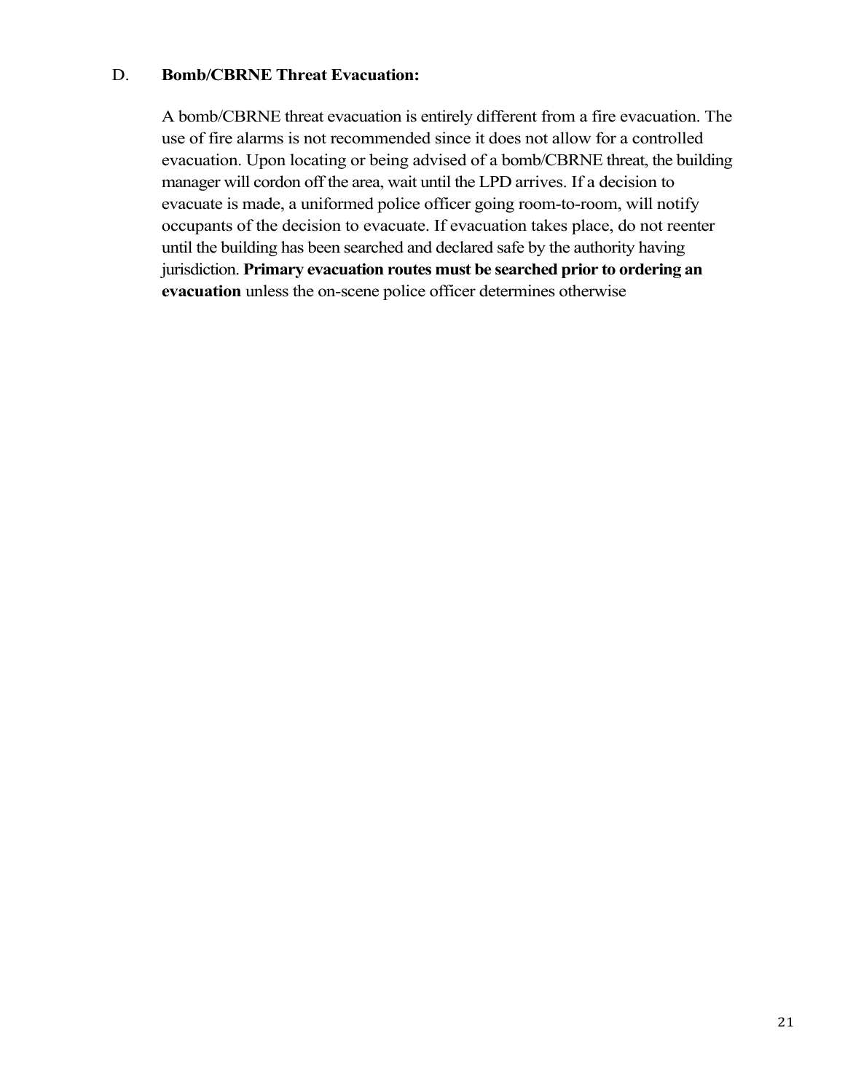#### D. **Bomb/CBRNE Threat Evacuation:**

A bomb/CBRNE threat evacuation is entirely different from a fire evacuation. The use of fire alarms is not recommended since it does not allow for a controlled evacuation. Upon locating or being advised of a bomb/CBRNE threat, the building manager will cordon off the area, wait until the LPD arrives. If a decision to evacuate is made, a uniformed police officer going room-to-room, will notify occupants of the decision to evacuate. If evacuation takes place, do not reenter until the building has been searched and declared safe by the authority having jurisdiction. **Primary evacuation routes must be searched prior to ordering an evacuation** unless the on-scene police officer determines otherwise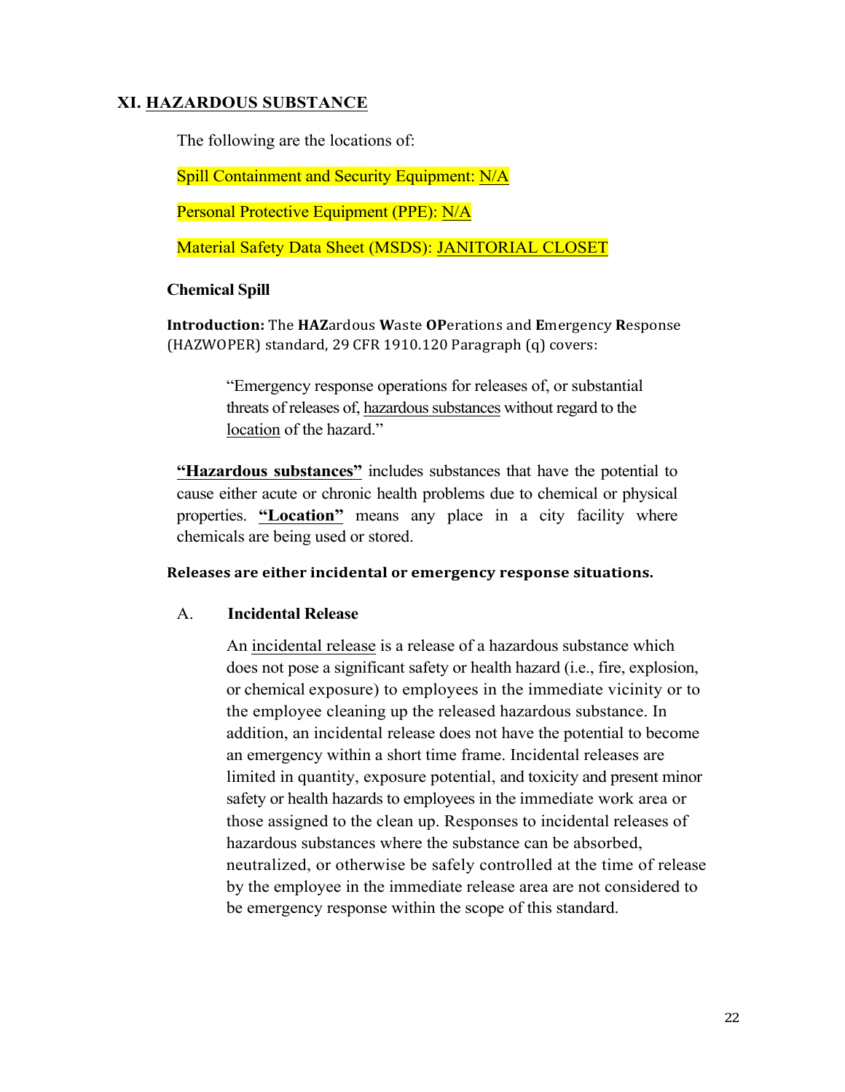### **XI. HAZARDOUS SUBSTANCE**

The following are the locations of:

Spill Containment and Security Equipment: N/A

Personal Protective Equipment (PPE): N/A

Material Safety Data Sheet (MSDS): Janitorial closet (Blue Folder, Second Shelf)

#### **Chemical Spill**

**Introduction:** The **HAZ**ardous Waste **OP**erations and **E**mergency Response (HAZWOPER) standard, 29 CFR 1910.120 Paragraph (q) covers:

> "Emergency response operations for releases of, or substantial threats of releases of, hazardous substances without regard to the location of the hazard."

**"Hazardous substances"** includes substances that have the potential to cause either acute or chronic health problems due to chemical or physical properties. **"Location"** means any place in a city facility where chemicals are being used or stored.

#### **Releases are either incidental or emergency response situations.**

#### A. **Incidental Release**

An incidental release is a release of a hazardous substance which does not pose a significant safety or health hazard (i.e., fire, explosion, or chemical exposure) to employees in the immediate vicinity or to the employee cleaning up the released hazardous substance. In addition, an incidental release does not have the potential to become an emergency within a short time frame. Incidental releases are limited in quantity, exposure potential, and toxicity and present minor safety or health hazards to employees in the immediate work area or those assigned to the clean up. Responses to incidental releases of hazardous substances where the substance can be absorbed, neutralized, or otherwise be safely controlled at the time of release by the employee in the immediate release area are not considered to be emergency response within the scope of this standard.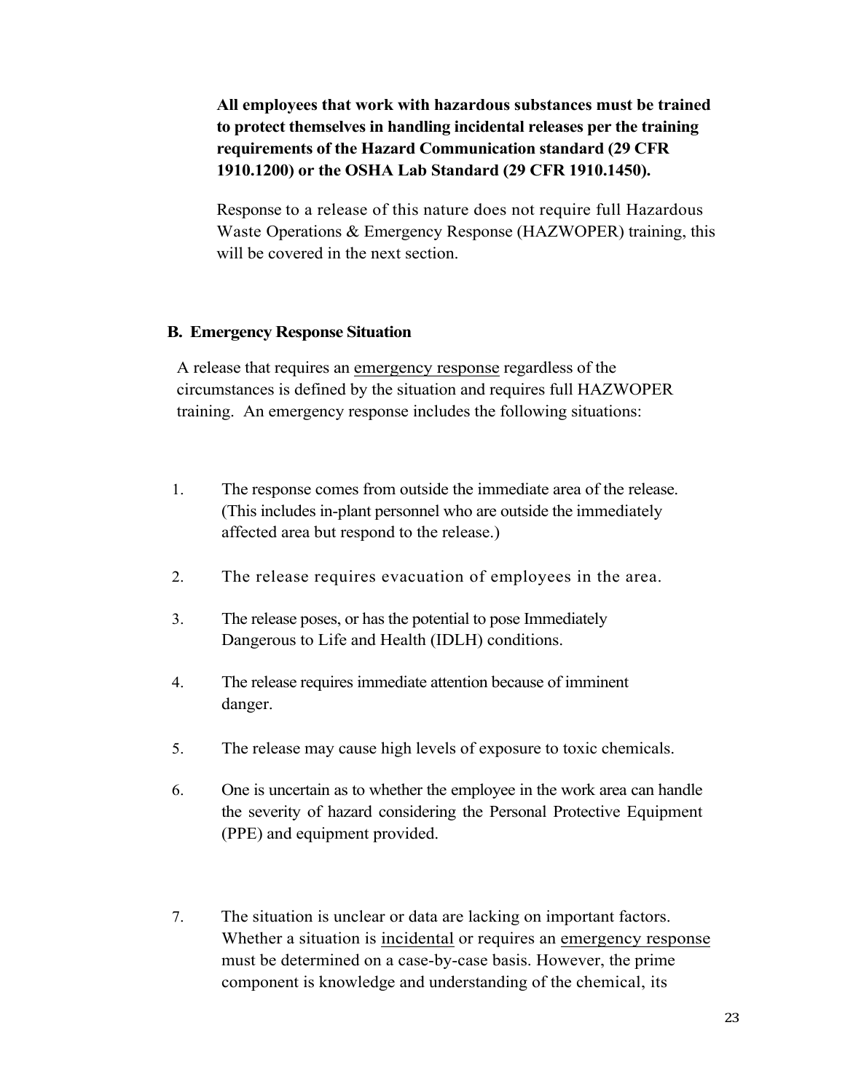**All employees that work with hazardous substances must be trained to protect themselves in handling incidental releases per the training requirements of the Hazard Communication standard (29 CFR 1910.1200) or the OSHA Lab Standard (29 CFR 1910.1450).**

Response to a release of this nature does not require full Hazardous Waste Operations & Emergency Response (HAZWOPER) training, this will be covered in the next section.

#### **B. Emergency Response Situation**

A release that requires an emergency response regardless of the circumstances is defined by the situation and requires full HAZWOPER training. An emergency response includes the following situations:

- 1. The response comes from outside the immediate area of the release. (This includes in-plant personnel who are outside the immediately affected area but respond to the release.)
- 2. The release requires evacuation of employees in the area.
- 3. The release poses, or has the potential to pose Immediately Dangerous to Life and Health (IDLH) conditions.
- 4. The release requires immediate attention because of imminent danger.
- 5. The release may cause high levels of exposure to toxic chemicals.
- 6. One is uncertain as to whether the employee in the work area can handle the severity of hazard considering the Personal Protective Equipment (PPE) and equipment provided.
- 7. The situation is unclear or data are lacking on important factors. Whether a situation is incidental or requires an emergency response must be determined on a case-by-case basis. However, the prime component is knowledge and understanding of the chemical, its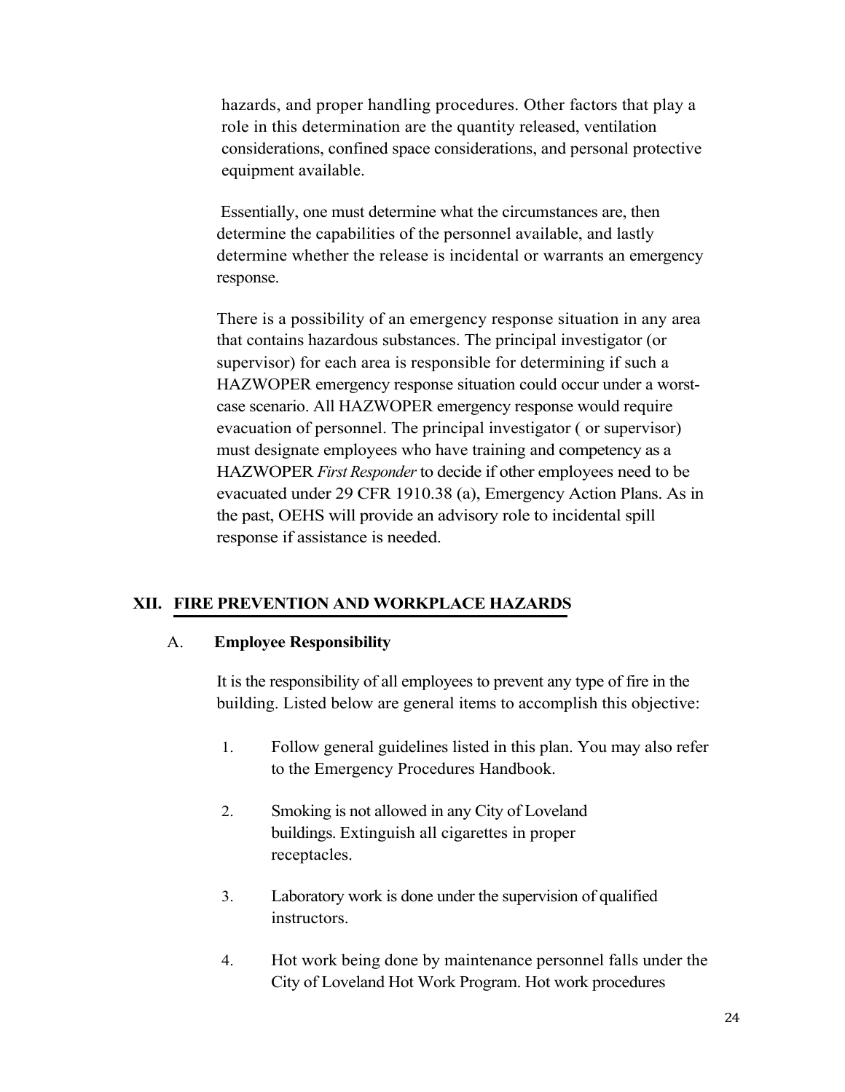hazards, and proper handling procedures. Other factors that play a role in this determination are the quantity released, ventilation considerations, confined space considerations, and personal protective equipment available.

Essentially, one must determine what the circumstances are, then determine the capabilities of the personnel available, and lastly determine whether the release is incidental or warrants an emergency response.

There is a possibility of an emergency response situation in any area that contains hazardous substances. The principal investigator (or supervisor) for each area is responsible for determining if such a HAZWOPER emergency response situation could occur under a worstcase scenario. All HAZWOPER emergency response would require evacuation of personnel. The principal investigator ( or supervisor) must designate employees who have training and competency as a HAZWOPER *First Responder* to decide if other employees need to be evacuated under 29 CFR 1910.38 (a), Emergency Action Plans. As in the past, OEHS will provide an advisory role to incidental spill response if assistance is needed.

#### **XII. FIRE PREVENTION AND WORKPLACE HAZARDS**

#### A. **Employee Responsibility**

It is the responsibility of all employees to prevent any type of fire in the building. Listed below are general items to accomplish this objective:

- 1. Follow general guidelines listed in this plan. You may also refer to the Emergency Procedures Handbook.
- 2. Smoking is not allowed in any City of Loveland buildings. Extinguish all cigarettes in proper receptacles.
- 3. Laboratory work is done under the supervision of qualified instructors.
- 4. Hot work being done by maintenance personnel falls under the City of Loveland Hot Work Program. Hot work procedures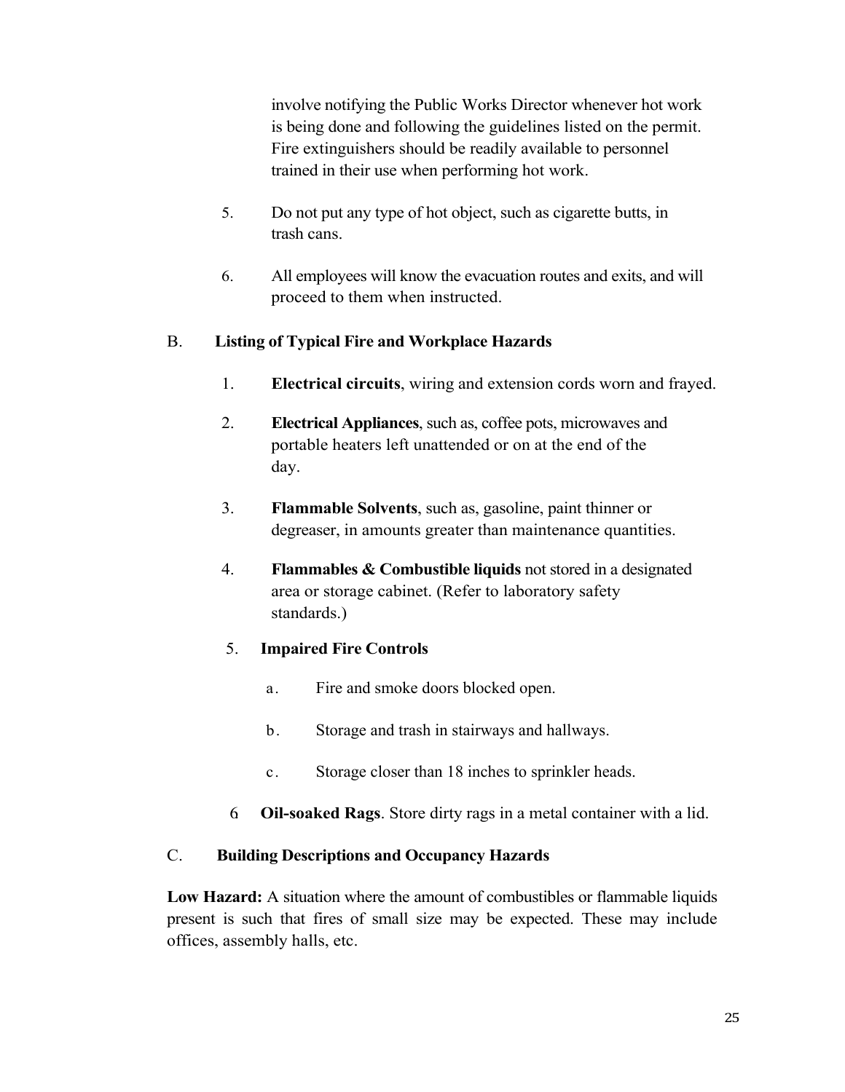involve notifying the Public Works Director whenever hot work is being done and following the guidelines listed on the permit. Fire extinguishers should be readily available to personnel trained in their use when performing hot work.

- 5. Do not put any type of hot object, such as cigarette butts, in trash cans.
- 6. All employees will know the evacuation routes and exits, and will proceed to them when instructed.

## B. **Listing of Typical Fire and Workplace Hazards**

- 1. **Electrical circuits**, wiring and extension cords worn and frayed.
- 2. **Electrical Appliances**, such as, coffee pots, microwaves and portable heaters left unattended or on at the end of the day.
- 3. **Flammable Solvents**, such as, gasoline, paint thinner or degreaser, in amounts greater than maintenance quantities.
- 4. **Flammables & Combustible liquids** not stored in a designated area or storage cabinet. (Refer to laboratory safety standards.)

#### 5. **Impaired Fire Controls**

- a. Fire and smoke doors blocked open.
- b. Storage and trash in stairways and hallways.
- c. Storage closer than 18 inches to sprinkler heads.
- 6. **Oil-soaked Rags**. Store dirty rags in a metal container with a lid.

#### C. **Building Descriptions and Occupancy Hazards**

**Low Hazard:** A situation where the amount of combustibles or flammable liquids present is such that fires of small size may be expected. These may include offices, assembly halls, etc.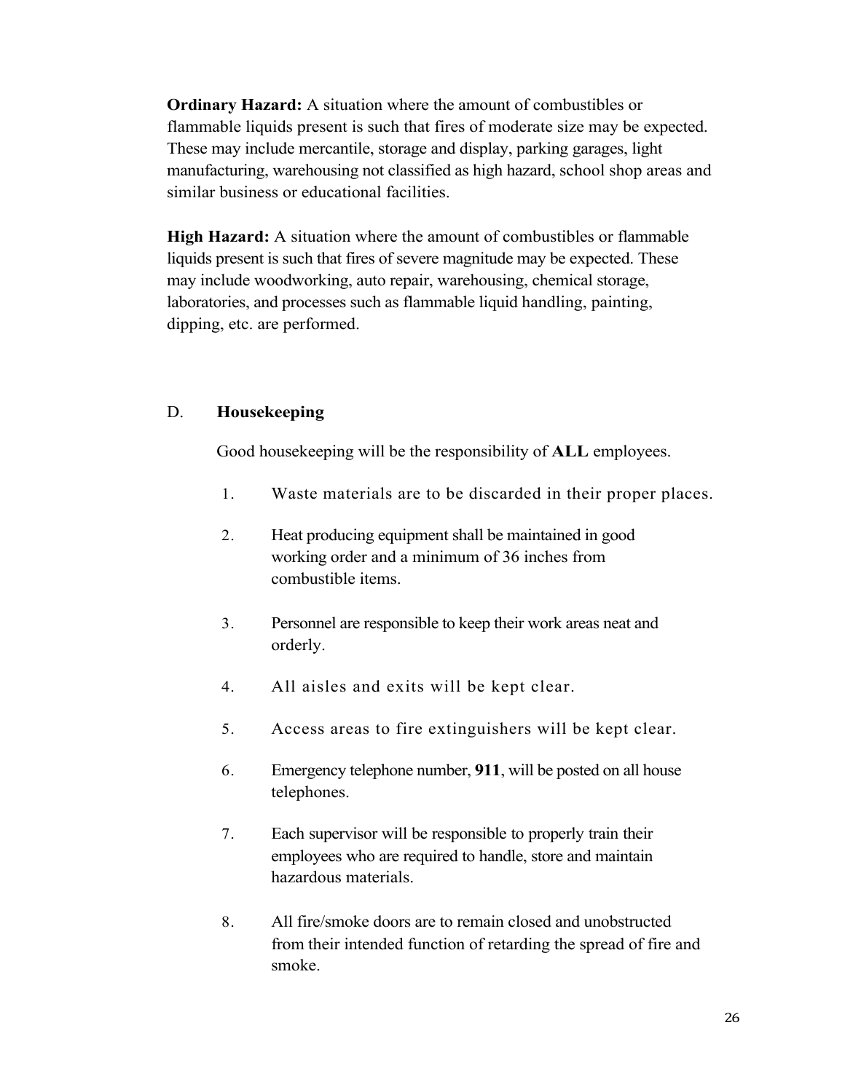**Ordinary Hazard:** A situation where the amount of combustibles or flammable liquids present is such that fires of moderate size may be expected. These may include mercantile, storage and display, parking garages, light manufacturing, warehousing not classified as high hazard, school shop areas and similar business or educational facilities.

**High Hazard:** A situation where the amount of combustibles or flammable liquids present is such that fires of severe magnitude may be expected. These may include woodworking, auto repair, warehousing, chemical storage, laboratories, and processes such as flammable liquid handling, painting, dipping, etc. are performed.

#### D. **Housekeeping**

Good housekeeping will be the responsibility of **ALL** employees.

- 1. Waste materials are to be discarded in their proper places.
- 2. Heat producing equipment shall be maintained in good working order and a minimum of 36 inches from combustible items.
- 3. Personnel are responsible to keep their work areas neat and orderly.
- 4. All aisles and exits will be kept clear.
- 5. Access areas to fire extinguishers will be kept clear.
- 6. Emergency telephone number, **911**, will be posted on all house telephones.
- 7. Each supervisor will be responsible to properly train their employees who are required to handle, store and maintain hazardous materials.
- 8. All fire/smoke doors are to remain closed and unobstructed from their intended function of retarding the spread of fire and smoke.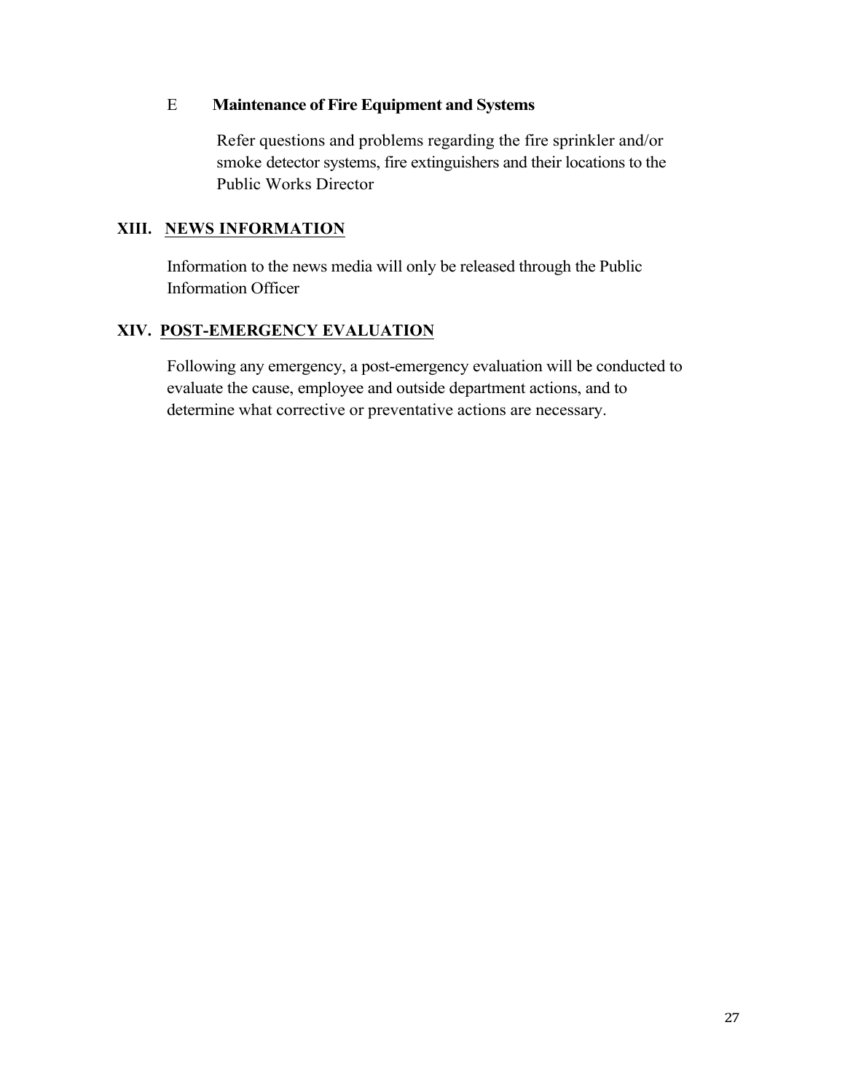### E **Maintenance of Fire Equipment and Systems**

Refer questions and problems regarding the fire sprinkler and/or smoke detector systems, fire extinguishers and their locations to the Public Works Director

## **XIII. NEWS INFORMATION**

Information to the news media will only be released through the Public Information Officer

## **XIV. POST-EMERGENCY EVALUATION**

Following any emergency, a post-emergency evaluation will be conducted to evaluate the cause, employee and outside department actions, and to determine what corrective or preventative actions are necessary.